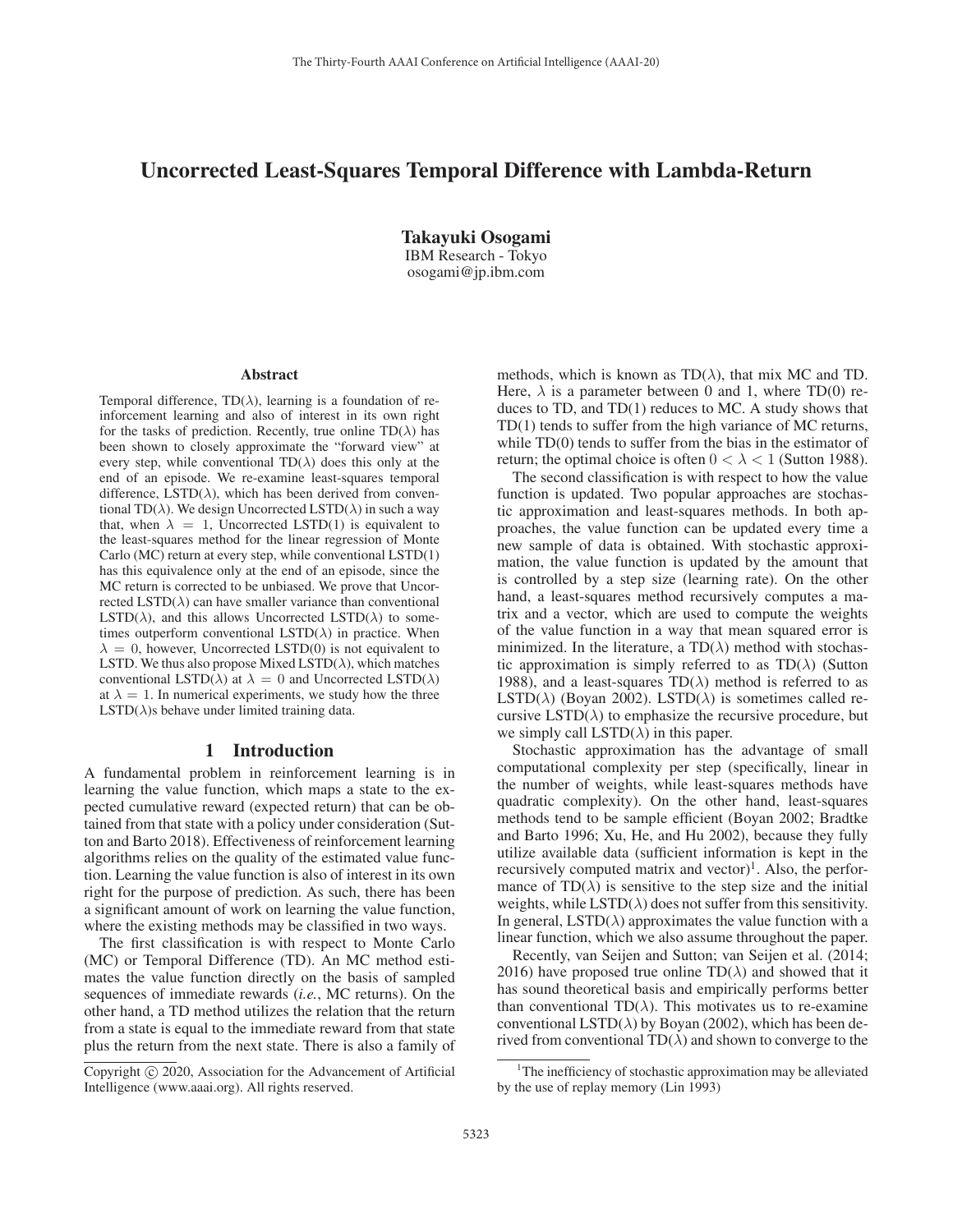# Uncorrected Least-Squares Temporal Difference with Lambda-Return

Takayuki Osogami IBM Research - Tokyo osogami@jp.ibm.com

#### Abstract

Temporal difference,  $TD(\lambda)$ , learning is a foundation of reinforcement learning and also of interest in its own right for the tasks of prediction. Recently, true online  $TD(\lambda)$  has been shown to closely approximate the "forward view" at every step, while conventional  $TD(\lambda)$  does this only at the end of an episode. We re-examine least-squares temporal difference,  $\text{LSTD}(\lambda)$ , which has been derived from conventional TD( $\lambda$ ). We design Uncorrected LSTD( $\lambda$ ) in such a way that, when  $\lambda = 1$ , Uncorrected LSTD(1) is equivalent to the least-squares method for the linear regression of Monte Carlo (MC) return at every step, while conventional LSTD(1) has this equivalence only at the end of an episode, since the MC return is corrected to be unbiased. We prove that Uncorrected  $LSTD(\lambda)$  can have smaller variance than conventional LSTD( $\lambda$ ), and this allows Uncorrected LSTD( $\lambda$ ) to sometimes outperform conventional  $\text{LSTD}(\lambda)$  in practice. When  $\lambda = 0$ , however, Uncorrected LSTD(0) is not equivalent to LSTD. We thus also propose Mixed LSTD( $\lambda$ ), which matches conventional LSTD( $\lambda$ ) at  $\lambda = 0$  and Uncorrected LSTD( $\lambda$ ) at  $\lambda = 1$ . In numerical experiments, we study how the three  $LSTD(\lambda)$ s behave under limited training data.

# 1 Introduction

A fundamental problem in reinforcement learning is in learning the value function, which maps a state to the expected cumulative reward (expected return) that can be obtained from that state with a policy under consideration (Sutton and Barto 2018). Effectiveness of reinforcement learning algorithms relies on the quality of the estimated value function. Learning the value function is also of interest in its own right for the purpose of prediction. As such, there has been a significant amount of work on learning the value function, where the existing methods may be classified in two ways.

The first classification is with respect to Monte Carlo (MC) or Temporal Difference (TD). An MC method estimates the value function directly on the basis of sampled sequences of immediate rewards (*i.e.*, MC returns). On the other hand, a TD method utilizes the relation that the return from a state is equal to the immediate reward from that state plus the return from the next state. There is also a family of

methods, which is known as  $TD(\lambda)$ , that mix MC and TD. Here,  $\lambda$  is a parameter between 0 and 1, where TD(0) reduces to TD, and TD(1) reduces to MC. A study shows that TD(1) tends to suffer from the high variance of MC returns, while TD(0) tends to suffer from the bias in the estimator of return; the optimal choice is often  $0 < \lambda < 1$  (Sutton 1988).

The second classification is with respect to how the value function is updated. Two popular approaches are stochastic approximation and least-squares methods. In both approaches, the value function can be updated every time a new sample of data is obtained. With stochastic approximation, the value function is updated by the amount that is controlled by a step size (learning rate). On the other hand, a least-squares method recursively computes a matrix and a vector, which are used to compute the weights of the value function in a way that mean squared error is minimized. In the literature, a  $TD(\lambda)$  method with stochastic approximation is simply referred to as  $TD(\lambda)$  (Sutton 1988), and a least-squares  $TD(\lambda)$  method is referred to as LSTD( $\lambda$ ) (Boyan 2002). LSTD( $\lambda$ ) is sometimes called recursive LSTD( $\lambda$ ) to emphasize the recursive procedure, but we simply call  $LSTD(\lambda)$  in this paper.

Stochastic approximation has the advantage of small computational complexity per step (specifically, linear in the number of weights, while least-squares methods have quadratic complexity). On the other hand, least-squares methods tend to be sample efficient (Boyan 2002; Bradtke and Barto 1996; Xu, He, and Hu 2002), because they fully utilize available data (sufficient information is kept in the recursively computed matrix and vector $]$ <sup>1</sup>. Also, the performance of  $TD(\lambda)$  is sensitive to the step size and the initial weights, while  $LSTD(\lambda)$  does not suffer from this sensitivity. In general,  $\text{LSTD}(\lambda)$  approximates the value function with a linear function, which we also assume throughout the paper.

Recently, van Seijen and Sutton; van Seijen et al. (2014; 2016) have proposed true online TD( $\lambda$ ) and showed that it has sound theoretical basis and empirically performs better than conventional TD( $\lambda$ ). This motivates us to re-examine conventional LSTD( $\lambda$ ) by Boyan (2002), which has been derived from conventional  $TD(\lambda)$  and shown to converge to the

Copyright  $\odot$  2020, Association for the Advancement of Artificial Intelligence (www.aaai.org). All rights reserved.

<sup>&</sup>lt;sup>1</sup>The inefficiency of stochastic approximation may be alleviated by the use of replay memory (Lin 1993)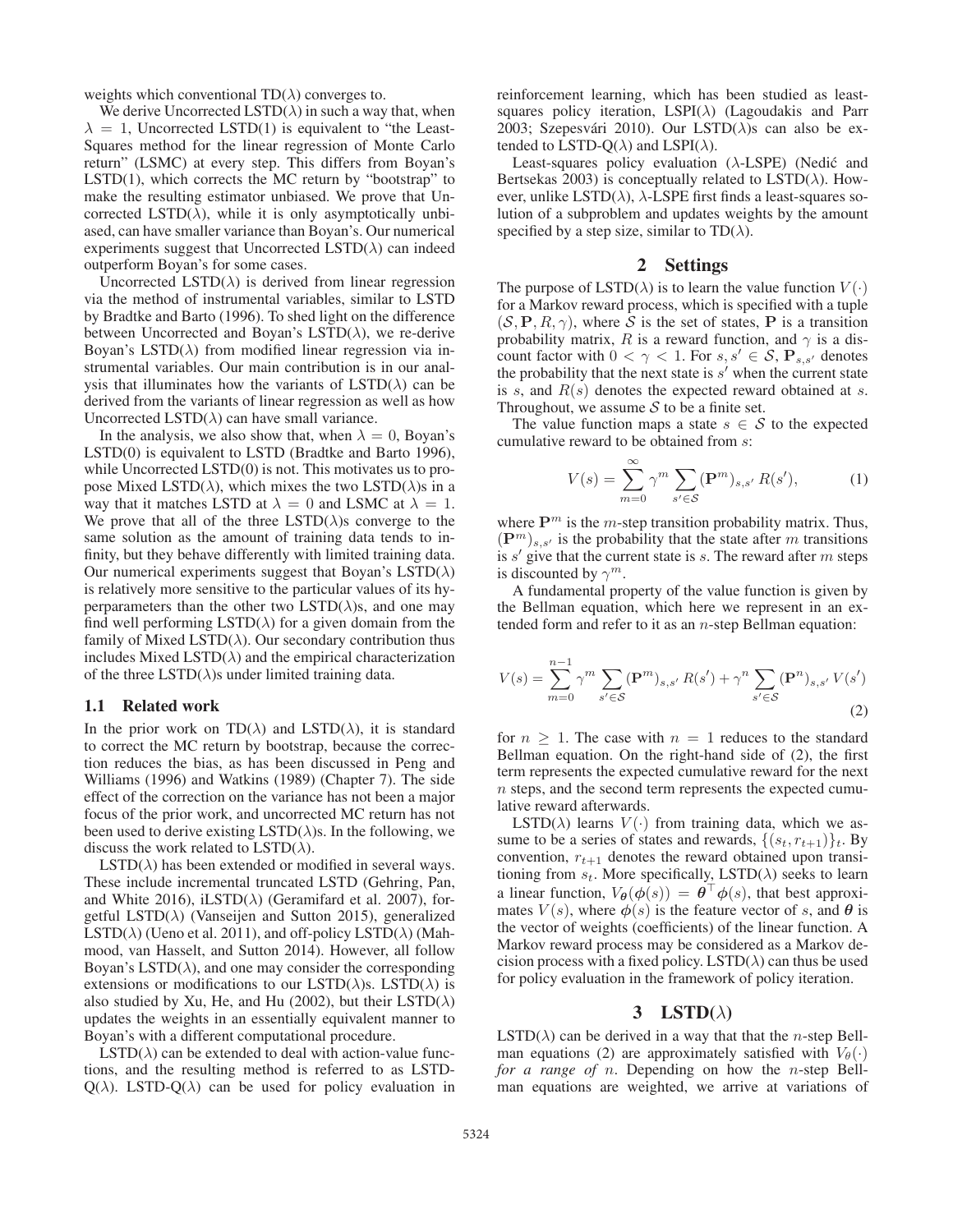weights which conventional  $TD(\lambda)$  converges to.

We derive Uncorrected LSTD( $\lambda$ ) in such a way that, when  $\lambda = 1$ , Uncorrected LSTD(1) is equivalent to "the Least-Squares method for the linear regression of Monte Carlo return" (LSMC) at every step. This differs from Boyan's LSTD $(1)$ , which corrects the MC return by "bootstrap" to make the resulting estimator unbiased. We prove that Uncorrected LSTD( $\lambda$ ), while it is only asymptotically unbiased, can have smaller variance than Boyan's. Our numerical experiments suggest that Uncorrected LSTD $(\lambda)$  can indeed outperform Boyan's for some cases.

Uncorrected  $LSTD(\lambda)$  is derived from linear regression via the method of instrumental variables, similar to LSTD by Bradtke and Barto (1996). To shed light on the difference between Uncorrected and Boyan's  $LSTD(\lambda)$ , we re-derive Boyan's LSTD( $\lambda$ ) from modified linear regression via instrumental variables. Our main contribution is in our analysis that illuminates how the variants of  $LSTD(\lambda)$  can be derived from the variants of linear regression as well as how Uncorrected LSTD( $\lambda$ ) can have small variance.

In the analysis, we also show that, when  $\lambda = 0$ , Boyan's LSTD(0) is equivalent to LSTD (Bradtke and Barto 1996), while Uncorrected LSTD(0) is not. This motivates us to propose Mixed LSTD( $\lambda$ ), which mixes the two LSTD( $\lambda$ )s in a way that it matches LSTD at  $\lambda = 0$  and LSMC at  $\lambda = 1$ . We prove that all of the three  $LSTD(\lambda)$ s converge to the same solution as the amount of training data tends to infinity, but they behave differently with limited training data. Our numerical experiments suggest that Boyan's  $\text{LSTD}(\lambda)$ is relatively more sensitive to the particular values of its hyperparameters than the other two  $LSTD(\lambda)s$ , and one may find well performing  $LSTD(\lambda)$  for a given domain from the family of Mixed LSTD( $\lambda$ ). Our secondary contribution thus includes Mixed LSTD( $\lambda$ ) and the empirical characterization of the three  $LSTD(\lambda)$ s under limited training data.

### 1.1 Related work

In the prior work on  $TD(\lambda)$  and  $LSTD(\lambda)$ , it is standard to correct the MC return by bootstrap, because the correction reduces the bias, as has been discussed in Peng and Williams (1996) and Watkins (1989) (Chapter 7). The side effect of the correction on the variance has not been a major focus of the prior work, and uncorrected MC return has not been used to derive existing LSTD( $\lambda$ )s. In the following, we discuss the work related to  $LSTD(\lambda)$ .

 $LSTD(\lambda)$  has been extended or modified in several ways. These include incremental truncated LSTD (Gehring, Pan, and White 2016), iLSTD( $\lambda$ ) (Geramifard et al. 2007), forgetful LSTD( $\lambda$ ) (Vanseijen and Sutton 2015), generalized LSTD( $\lambda$ ) (Ueno et al. 2011), and off-policy LSTD( $\lambda$ ) (Mahmood, van Hasselt, and Sutton 2014). However, all follow Boyan's LSTD( $\lambda$ ), and one may consider the corresponding extensions or modifications to our LSTD( $\lambda$ )s. LSTD( $\lambda$ ) is also studied by Xu, He, and Hu (2002), but their  $\text{LSTD}(\lambda)$ updates the weights in an essentially equivalent manner to Boyan's with a different computational procedure.

 $LSTD(\lambda)$  can be extended to deal with action-value functions, and the resulting method is referred to as LSTD- $Q(\lambda)$ . LSTD- $Q(\lambda)$  can be used for policy evaluation in

reinforcement learning, which has been studied as leastsquares policy iteration,  $LSPI(\lambda)$  (Lagoudakis and Parr 2003; Szepesvári 2010). Our LSTD( $\lambda$ )s can also be extended to LSTD-Q( $\lambda$ ) and LSPI( $\lambda$ ).

Least-squares policy evaluation  $(\lambda$ -LSPE) (Nedić and Bertsekas 2003) is conceptually related to  $LSTD(\lambda)$ . However, unlike LSTD( $\lambda$ ),  $\lambda$ -LSPE first finds a least-squares solution of a subproblem and updates weights by the amount specified by a step size, similar to  $TD(\lambda)$ .

### 2 Settings

The purpose of  $LSTD(\lambda)$  is to learn the value function  $V(\cdot)$ for a Markov reward process, which is specified with a tuple  $(S, P, R, \gamma)$ , where S is the set of states, P is a transition probability matrix, R is a reward function, and  $\gamma$  is a discount factor with  $0 < \gamma < 1$ . For  $s, s' \in S$ ,  $\mathbf{P}_{s,s'}$  denotes the probability that the next state is s' when the current state the probability that the next state is  $s'$  when the current state is s, and  $R(s)$  denotes the expected reward obtained at s. Throughout, we assume  $S$  to be a finite set.

The value function maps a state  $s \in S$  to the expected cumulative reward to be obtained from s:

$$
V(s) = \sum_{m=0}^{\infty} \gamma^m \sum_{s' \in \mathcal{S}} (\mathbf{P}^m)_{s,s'} R(s'), \tag{1}
$$

where  $P^m$  is the *m*-step transition probability matrix. Thus,  $({\bf P}^m)_{s,s'}$  is the probability that the state after m transitions<br>is  $s'$  give that the current state is s. The reward after m steps is  $s'$  give that the current state is  $s$ . The reward after  $m$  steps is discounted by  $\gamma^m$ .

A fundamental property of the value function is given by the Bellman equation, which here we represent in an extended form and refer to it as an  $n$ -step Bellman equation:

$$
V(s) = \sum_{m=0}^{n-1} \gamma^m \sum_{s' \in \mathcal{S}} (\mathbf{P}^m)_{s,s'} R(s') + \gamma^n \sum_{s' \in \mathcal{S}} (\mathbf{P}^n)_{s,s'} V(s')
$$
(2)

for  $n \geq 1$ . The case with  $n = 1$  reduces to the standard Bellman equation. On the right-hand side of (2), the first term represents the expected cumulative reward for the next n steps, and the second term represents the expected cumulative reward afterwards.

LSTD( $\lambda$ ) learns  $V(\cdot)$  from training data, which we assume to be a series of states and rewards,  $\{(s_t, r_{t+1})\}_t$ . By convention,  $r_{t+1}$  denotes the reward obtained upon transitioning from  $s_t$ . More specifically, LSTD( $\lambda$ ) seeks to learn a linear function,  $V_{\theta}(\phi(s)) = \theta^{\top} \phi(s)$ , that best approximates  $V(s)$ , where  $\phi(s)$  is the feature vector of s, and  $\theta$  is the vector of weights (coefficients) of the linear function. A Markov reward process may be considered as a Markov decision process with a fixed policy. LSTD( $\lambda$ ) can thus be used for policy evaluation in the framework of policy iteration.

### 3 LSTD( $\lambda$ )

 $LSTD(\lambda)$  can be derived in a way that that the *n*-step Bellman equations (2) are approximately satisfied with  $V_{\theta}(\cdot)$ *for a range of* n. Depending on how the n-step Bellman equations are weighted, we arrive at variations of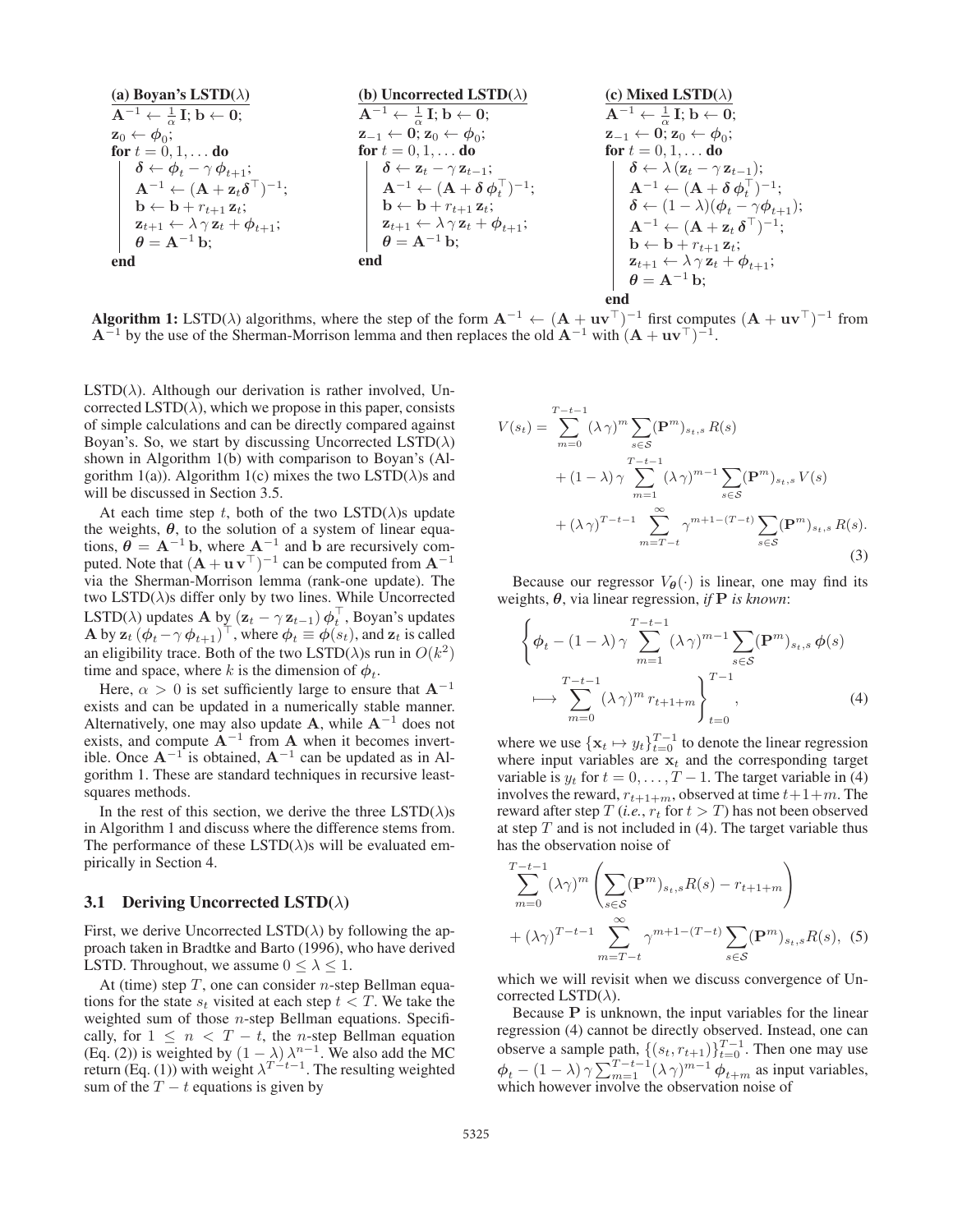| (a) Boyan's LSTM( $\lambda$ )                                  | (b) Uncorrected LSTM( $\lambda$ )                              | (c) Mixed LSTM( $\lambda$ )                                    |
|----------------------------------------------------------------|----------------------------------------------------------------|----------------------------------------------------------------|
| $A^{-1} \leftarrow \frac{1}{\alpha} \text{I}; b \leftarrow 0;$ | $A^{-1} \leftarrow \frac{1}{\alpha} \text{I}; b \leftarrow 0;$ | $A^{-1} \leftarrow \frac{1}{\alpha} \text{I}; b \leftarrow 0;$ |
| $z_0 \leftarrow \phi_0;$                                       | $z_{-1} \leftarrow 0; z_0 \leftarrow \phi_0;$                  | $z_{-1} \leftarrow 0; z_0 \leftarrow \phi_0;$                  |
| $\delta \leftarrow \phi_t - \gamma \phi_{t+1};$                | $\delta \leftarrow z_t - \gamma z_{t-1};$                      | $\delta \leftarrow \lambda (z_t - \gamma z_{t-1});$            |
| $A^{-1} \leftarrow (A + z_t \delta^{\top})^{-1};$              | $A^{-1} \leftarrow (A + \delta \phi_t^{\top})^{-1};$           | $\delta \leftarrow \lambda (z_t - \gamma z_{t-1});$            |
| $b \leftarrow b + r_{t+1} z_t;$                                | $z_{t+1} \leftarrow \lambda \gamma z_t + \phi_{t+1};$          | $\delta \leftarrow (1 - \lambda)(\phi_t - \gamma \phi_{t+1});$ |
| $\theta = A^{-1} b;$                                           | $\theta = A^{-1} b;$                                           | $\theta = A^{-1} b;$                                           |

\nend

\nend

**Algorithm 1:** LSTD( $\lambda$ ) algorithms, where the step of the form  $\mathbf{A}^{-1}$  ←  $(\mathbf{A} + \mathbf{u}\mathbf{v}^{\top})^{-1}$  first computes  $(\mathbf{A} + \mathbf{u}\mathbf{v}^{\top})^{-1}$  from  $\mathbf{A}^{-1}$  by the use of the Sherman-Morrison lemma and then rep  $\mathbf{A}^{-1}$  by the use of the Sherman-Morrison lemma and then replaces the old  $\mathbf{A}^{-1}$  with  $(\mathbf{A} + \mathbf{u}\mathbf{v}^{\top})^{-1}$ .

 $LSTD(\lambda)$ . Although our derivation is rather involved, Uncorrected LSTD( $\lambda$ ), which we propose in this paper, consists of simple calculations and can be directly compared against Boyan's. So, we start by discussing Uncorrected  $\text{LSTD}(\lambda)$ shown in Algorithm 1(b) with comparison to Boyan's (Algorithm 1(a)). Algorithm 1(c) mixes the two LSTD( $\lambda$ )s and will be discussed in Section 3.5.

At each time step t, both of the two  $LSTD(\lambda)$ s update the weights,  $\theta$ , to the solution of a system of linear equations,  $\hat{\theta} = A^{-1} b$ , where  $A^{-1}$  and  $b$  are recursively computed Note that  $(A + \mu \mathbf{v}^{\top})^{-1}$  can be computed from  $A^{-1}$ puted. Note that  $(A + \mathbf{u} \mathbf{v}^{\top})^{-1}$  can be computed from  $\mathbf{A}^{-1}$  via the Sherman-Morrison Jemma (rank-one undate). The via the Sherman-Morrison lemma (rank-one update). The two  $LSTD(\lambda)$ s differ only by two lines. While Uncorrected LSTD( $\lambda$ ) updates **A** by  $(\mathbf{z}_t - \gamma \mathbf{z}_{t-1}) \phi_t^{\dagger}$ , Boyan's updates<br>**A** by  $\mathbf{z}_t (\phi_t - \gamma \phi_{t+1})^{\top}$  where  $\phi_t = \phi(s_t)$  and  $\mathbf{z}_t$  is called **A** by  $\mathbf{z}_t$  ( $\phi_t - \gamma \phi_{t+1}$ )<sup> $\top$ </sup>, where  $\phi_t \equiv \phi(s_t)$ , and  $\mathbf{z}_t$  is called an eligibility trace. Both of the two  $\text{LSTD}(\lambda)$ s run in  $O(k^2)$ time and space, where k is the dimension of  $\phi_t$ .

Here,  $\alpha > 0$  is set sufficiently large to ensure that  $\mathbf{A}^{-1}$ exists and can be updated in a numerically stable manner. Alternatively, one may also update **A**, while  $A^{-1}$  does not exists, and compute **A**−<sup>1</sup> from **A** when it becomes invertible. Once  $A^{-1}$  is obtained,  $A^{-1}$  can be updated as in Algorithm 1. These are standard techniques in recursive leastsquares methods.

In the rest of this section, we derive the three  $\text{LSTD}(\lambda)$ s in Algorithm 1 and discuss where the difference stems from. The performance of these  $LSTD(\lambda)$ s will be evaluated empirically in Section 4.

#### 3.1 Deriving Uncorrected LSTD( $\lambda$ )

First, we derive Uncorrected LSTD( $\lambda$ ) by following the approach taken in Bradtke and Barto (1996), who have derived LSTD. Throughout, we assume  $0 \leq \lambda \leq 1$ .

At (time) step  $T$ , one can consider *n*-step Bellman equations for the state  $s_t$  visited at each step  $t < T$ . We take the weighted sum of those *n*-step Bellman equations. Specifically, for  $1 \leq n < T - t$ , the *n*-step Bellman equation cally, for  $1 \leq n < T - t$ , the *n*-step Bellman equation (Eq. (2)) is weighted by  $(1 - \lambda) \lambda^{n-1}$  We also add the MC (Eq. (2)) is weighted by  $(1 - \lambda) \lambda^{n-1}$ . We also add the MC return (Eq. (1)) with weight  $\lambda^{T-t-1}$ . The resulting weighted sum of the  $T - t$  equations is given by

$$
V(s_t) = \sum_{m=0}^{T-t-1} (\lambda \gamma)^m \sum_{s \in S} (\mathbf{P}^m)_{s_t, s} R(s)
$$
  
+  $(1 - \lambda) \gamma \sum_{m=1}^{T-t-1} (\lambda \gamma)^{m-1} \sum_{s \in S} (\mathbf{P}^m)_{s_t, s} V(s)$   
+  $(\lambda \gamma)^{T-t-1} \sum_{m=T-t}^{\infty} \gamma^{m+1-(T-t)} \sum_{s \in S} (\mathbf{P}^m)_{s_t, s} R(s).$  (3)

end

Because our regressor  $V_{\theta}(\cdot)$  is linear, one may find its weights, *θ*, via linear regression, *if* **P** *is known*:

$$
\left\{\phi_t - (1 - \lambda)\gamma \sum_{m=1}^{T-t-1} (\lambda \gamma)^{m-1} \sum_{s \in \mathcal{S}} (\mathbf{P}^m)_{s_t, s} \phi(s) \right\}
$$

$$
\longmapsto \sum_{m=0}^{T-t-1} (\lambda \gamma)^m r_{t+1+m} \right\}_{t=0}^{T-1}, \tag{4}
$$

where we use  $\{x_t \mapsto y_t\}_{t=0}^{T-1}$  to denote the linear regression where input variables are  $x_t$  and the corresponding target variable is  $y_t$  for  $t = 0, \ldots, T - 1$ . The target variable in (4) involves the reward,  $r_{t+1+m}$ , observed at time  $t+1+m$ . The reward after step  $T$  (*i.e.*,  $r_t$  for  $t>T$ ) has not been observed at step  $T$  and is not included in (4). The target variable thus has the observation noise of

$$
\sum_{m=0}^{T-t-1} (\lambda \gamma)^m \left( \sum_{s \in \mathcal{S}} (\mathbf{P}^m)_{s_t, s} R(s) - r_{t+1+m} \right)
$$
  
+  $(\lambda \gamma)^{T-t-1} \sum_{m=T-t}^{\infty} \gamma^{m+1-(T-t)} \sum_{s \in \mathcal{S}} (\mathbf{P}^m)_{s_t, s} R(s),$  (5)

which we will revisit when we discuss convergence of Uncorrected LSTD( $\lambda$ ).

Because **P** is unknown, the input variables for the linear regression (4) cannot be directly observed. Instead, one can observe a sample path,  $\{(s_t, r_{t+1})\}_{t=0}^{T-1}$ . Then one may use  $\phi_t - (1 - \lambda) \gamma \sum_{m=1}^{T-t-1} (\lambda \gamma)^{m-1} \phi_{t+m}$  as input variables,<br>which however involve the observation noise of which however involve the observation noise of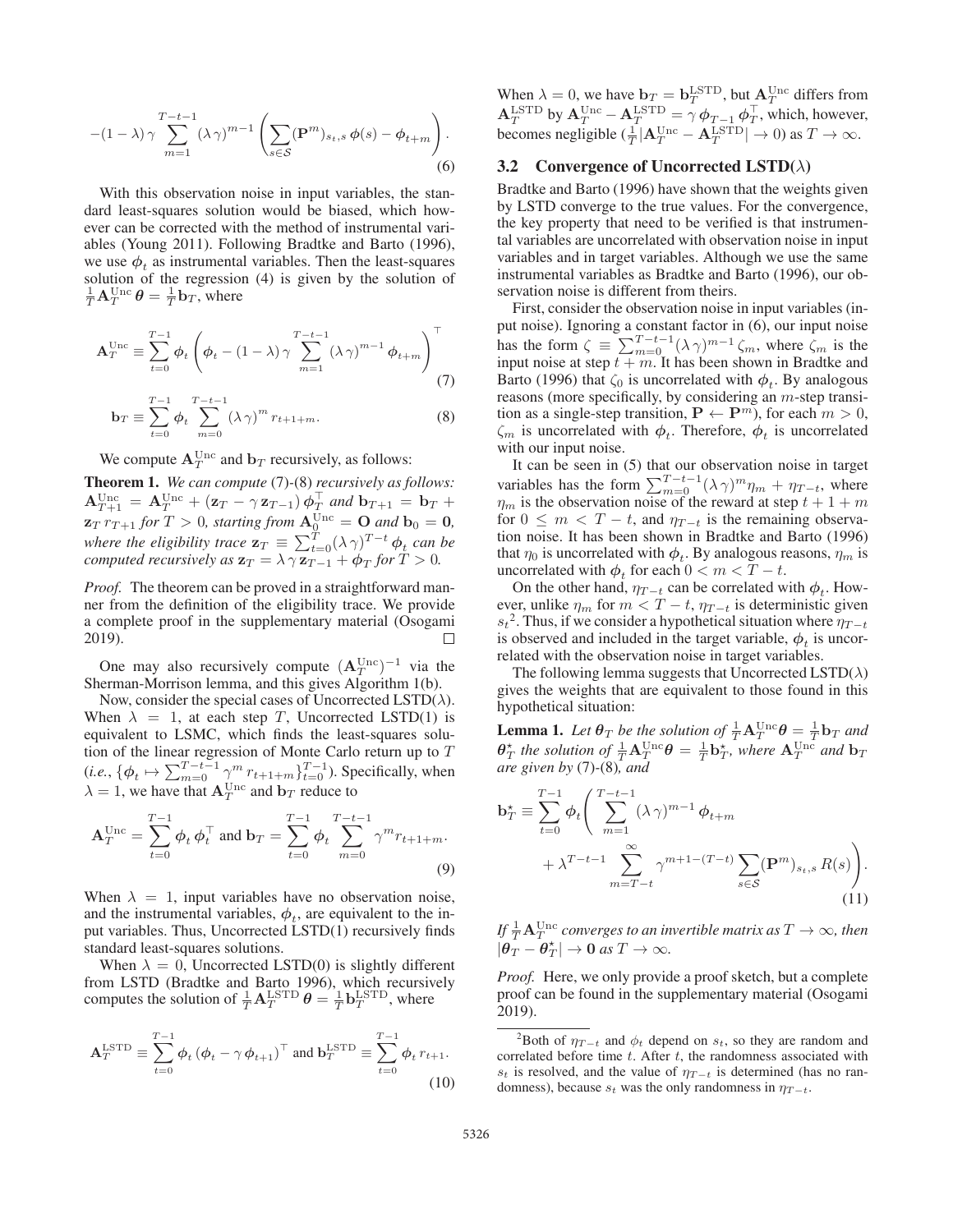$$
-(1-\lambda)\gamma \sum_{m=1}^{T-t-1} (\lambda \gamma)^{m-1} \left( \sum_{s \in \mathcal{S}} (\mathbf{P}^m)_{s_t, s} \phi(s) - \phi_{t+m} \right). \tag{6}
$$

With this observation noise in input variables, the standard least-squares solution would be biased, which however can be corrected with the method of instrumental variables (Young 2011). Following Bradtke and Barto (1996), we use  $\phi_t$  as instrumental variables. Then the least-squares solution of the regression (4) is given by the solution of  $\frac{1}{T} \mathbf{A}_T^{\text{Unc}} \boldsymbol{\theta} = \frac{1}{T} \mathbf{b}_T$ , where

$$
\mathbf{A}_T^{\text{Unc}} \equiv \sum_{t=0}^{T-1} \phi_t \left( \phi_t - (1 - \lambda) \gamma \sum_{m=1}^{T-t-1} (\lambda \gamma)^{m-1} \phi_{t+m} \right)^{\top} \tag{7}
$$

$$
\mathbf{b}_T \equiv \sum_{t=0}^{N} \phi_t \sum_{m=0}^{N} (\lambda \gamma)^m r_{t+1+m}.
$$
 (8)

We compute  $\mathbf{A}_T^{\text{Unc}}$  and  $\mathbf{b}_T$  recursively, as follows:

Theorem 1. *We can compute* (7)*-*(8) *recursively as follows:*  $\mathbf{A}_{T+1}^{\text{Unc}} = \mathbf{A}_T^{\text{Unc}} + (\mathbf{z}_T - \gamma \mathbf{z}_{T-1}) \phi_T^{\perp}$  and  $\mathbf{b}_{T+1} = \mathbf{b}_T + \mathbf{z}_{T}^{\perp} = \mathbf{b}_T^{\perp}$  $\mathbf{z}_T r_{T+1}$  *for*  $T > 0$ *, starting from*  $\mathbf{A}_0^{\text{Unc}} = \mathbf{O}$  *and*  $\mathbf{b}_0 = \mathbf{0}$ *,*<br>where the eligibility trace  $\mathbf{z}_T \equiv \sum_{t=0}^T (\lambda \gamma)^{T-t} \phi_t$  can be<br>computed recursively as  $\mathbf{z}_T = \lambda \gamma \mathbf{z}_{T-1} + \phi_T$  for *computed recursively as*  $\mathbf{z}_T = \lambda \gamma \mathbf{z}_{T-1} + \phi_T$  *for*  $T > 0$ *.* 

*Proof.* The theorem can be proved in a straightforward manner from the definition of the eligibility trace. We provide a complete proof in the supplementary material (Osogami 2019). П

One may also recursively compute  $(A_T^{Unc})^{-1}$  via the erman-Morrison lemma and this gives Algorithm 1(b) Sherman-Morrison lemma, and this gives Algorithm 1(b).

Now, consider the special cases of Uncorrected LSTD( $\lambda$ ). When  $\lambda = 1$ , at each step T, Uncorrected LSTD(1) is equivalent to LSMC, which finds the least-squares solution of the linear regression of Monte Carlo return up to T (*i.e.*,  $\{\phi_t \mapsto \sum_{m=0}^{T-t-1} \gamma^m r_{t+1+m}\}_{t=0}^{T-1}$ ). Specifically, when  $\lambda = 1$ , we have that  $\mathbf{A}_T^{\text{Unc}}$  and  $\mathbf{b}_T$  reduce to

$$
\mathbf{A}_T^{\text{Unc}} = \sum_{t=0}^{T-1} \phi_t \, \phi_t^{\top} \text{ and } \mathbf{b}_T = \sum_{t=0}^{T-1} \phi_t \sum_{m=0}^{T-t-1} \gamma^m r_{t+1+m}.
$$
\n(9)

When  $\lambda = 1$ , input variables have no observation noise, and the instrumental variables,  $\phi_t$ , are equivalent to the input variables. Thus, Uncorrected LSTD(1) recursively finds standard least-squares solutions.<br>When  $\lambda = 0$ , Uncorrected LSTD(0) is slightly different

When  $\lambda = 0$ , Uncorrected LSTD(0) is slightly different from LSTD (Bradtke and Barto 1996), which recursively computes the solution of  $\frac{1}{T} \mathbf{A}_T^{\text{LSTD}} \theta = \frac{1}{T} \mathbf{b}_T^{\text{LSTD}}$ , where

$$
\mathbf{A}_T^{\text{LSTD}} \equiv \sum_{t=0}^{T-1} \boldsymbol{\phi}_t \left(\boldsymbol{\phi}_t - \gamma \, \boldsymbol{\phi}_{t+1}\right)^{\top} \text{ and } \mathbf{b}_T^{\text{LSTD}} \equiv \sum_{t=0}^{T-1} \boldsymbol{\phi}_t \, r_{t+1}.\tag{10}
$$

When  $\lambda = 0$ , we have  $\mathbf{b}_T = \mathbf{b}_T^{\text{LSTD}}$ , but  $\mathbf{A}_T^{\text{Unc}}$  differs from  $\mathbf{A}^{\text{LSTD}}$  by  $\mathbf{A}^{\text{Unc}}$  a LSTD  $=\alpha \phi$  ${\bf A}_T^{\text{LSTD}}$  by  ${\bf A}_T^{\text{Unc}} - {\bf A}_T^{\text{LSTD}} = \gamma \phi_{T-1} \phi_T^{\perp}$ , which, however, becomes negligible  $(\frac{1}{T}|\mathbf{A}_T^{\text{Unc}} - \mathbf{A}_T^{\text{LSTD}}| \to 0)$  as  $T \to \infty$ .

### 3.2 Convergence of Uncorrected LSTD( $\lambda$ )

Bradtke and Barto (1996) have shown that the weights given by LSTD converge to the true values. For the convergence, the key property that need to be verified is that instrumental variables are uncorrelated with observation noise in input variables and in target variables. Although we use the same instrumental variables as Bradtke and Barto (1996), our observation noise is different from theirs.

First, consider the observation noise in input variables (input noise). Ignoring a constant factor in (6), our input noise has the form  $\zeta = \sum_{m=0}^{T-t-1} (\lambda \gamma)^{m-1} \zeta_m$ , where  $\zeta_m$  is the input noise at step  $t+m$ . It has been shown in Bradtke and input noise at step  $t + m$ . It has been shown in Bradtke and<br>Barto (1996) that  $\zeta_0$  is uncorrelated with  $\phi$ . By analogous Barto (1996) that  $\zeta_0$  is uncorrelated with  $\phi_t$ . By analogous reasons (more specifically, by considering an m-step transition as a single-step transition,  $P \leftarrow P^m$ ), for each  $m > 0$ ,  $\zeta_m$  is uncorrelated with  $\phi_t$ . Therefore,  $\phi_t$  is uncorrelated with our input noise.

It can be seen in (5) that our observation noise in target variables has the form  $\sum_{m=0}^{T-t-1} (\lambda \gamma)^m \eta_m + \eta_{T-t}$ , where  $n_{-}$  is the observation noise of the reward at step  $t+1+m$  $\eta_m$  is the observation noise of the reward at step  $t + 1 + m$ <br>for  $0 \le m \le T - t$  and  $n_{T-1}$  is the remaining observafor  $0 \leq m < T - t$ , and  $\eta_{T-t}$  is the remaining observation noise. It has been shown in Bradtke and Barto (1996) that  $\eta_0$  is uncorrelated with  $\phi_t$ . By analogous reasons,  $\eta_m$  is uncorrelated with  $\phi_t$  for each  $0 < m < T - t$ .

On the other hand,  $\eta_{T-t}$  can be correlated with  $\phi_t$ . However, unlike  $\eta_m$  for  $m < T - t$ ,  $\eta_{T-t}$  is deterministic given  $s_t^2$ . Thus, if we consider a hypothetical situation where  $\eta_{T-t}$ is observed and included in the target variable,  $\phi_t$  is uncorrelated with the observation noise in target variables.

The following lemma suggests that Uncorrected LSTD( $\lambda$ ) gives the weights that are equivalent to those found in this hypothetical situation:

**Lemma 1.** Let  $\theta_T$  be the solution of  $\frac{1}{T} \mathbf{A}^{\text{Unc}}_{T} \theta = \frac{1}{T} \mathbf{b}_T$  and  $\theta^*$  the solution of  $\frac{1}{T} \mathbf{A}^{\text{Unc}}_{T} \theta = \frac{1}{T} \mathbf{b}^*$ , where  $\mathbf{A}^{\text{unc}}$  and  $\mathbf{b}$  $\theta_T^*$  *the solution of*  $\frac{1}{T} \mathbf{A}_T^{\text{Unc}} \theta = \frac{1}{T} \mathbf{b}_T^*$ , where  $\mathbf{A}_T^{\text{Unc}}$  *and*  $\mathbf{b}_T$  *are given by* (7)-(8) *and are given by* (7)*-*(8)*, and*

$$
\mathbf{b}_{T}^{\star} \equiv \sum_{t=0}^{T-1} \phi_{t} \Bigg( \sum_{m=1}^{T-t-1} (\lambda \gamma)^{m-1} \phi_{t+m} + \lambda^{T-t-1} \sum_{m=T-t}^{\infty} \gamma^{m+1-(T-t)} \sum_{s \in S} (\mathbf{P}^{m})_{s_{t}, s} R(s) \Bigg). \tag{11}
$$

If  $\frac{1}{T} {\bf A}_T^{\rm{Unc}}$  converges to an invertible matrix as  $T\to \infty$ , then  $|\theta_T - \theta_T^*| \to 0 \text{ as } T \to \infty.$ 

*Proof.* Here, we only provide a proof sketch, but a complete proof can be found in the supplementary material (Osogami 2019).

<sup>&</sup>lt;sup>2</sup>Both of  $\eta_{T-t}$  and  $\phi_t$  depend on  $s_t$ , so they are random and correlated before time  $t$ . After  $t$ , the randomness associated with  $s_t$  is resolved, and the value of  $\eta_{T-t}$  is determined (has no randomness), because  $s_t$  was the only randomness in  $\eta_{T-t}$ .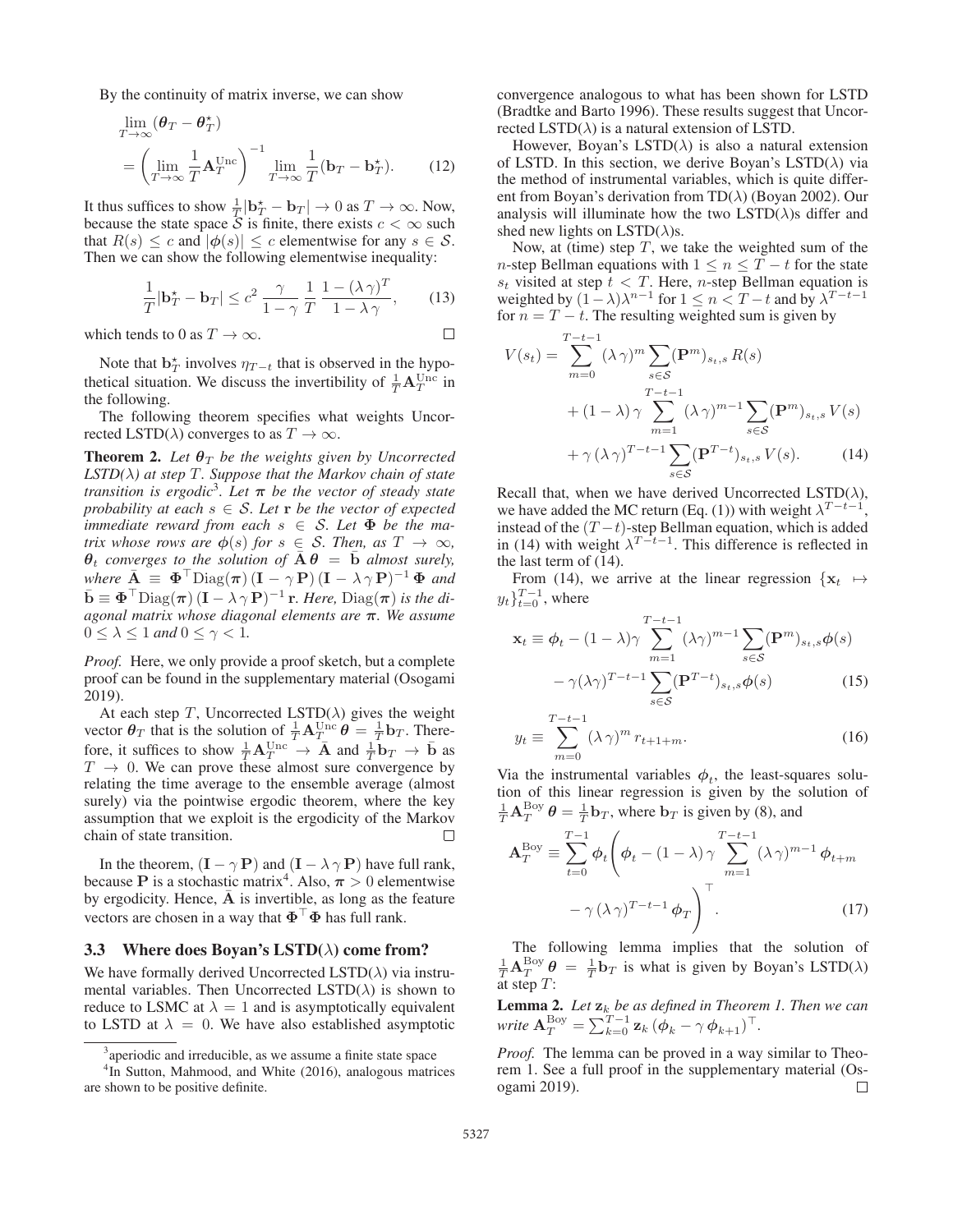By the continuity of matrix inverse, we can show

$$
\lim_{T \to \infty} (\theta_T - \theta_T^*)
$$
\n
$$
= \left(\lim_{T \to \infty} \frac{1}{T} \mathbf{A}_T^{\text{Unc}}\right)^{-1} \lim_{T \to \infty} \frac{1}{T} (\mathbf{b}_T - \mathbf{b}_T^*). \tag{12}
$$

It thus suffices to show  $\frac{1}{T}|\mathbf{b}_T^* - \mathbf{b}_T| \to 0$  as  $T \to \infty$ . Now, because the state space S is finite there exists  $c < \infty$  such because the state space  $\overline{S}$  is finite, there exists  $c < \infty$  such that  $R(s) \leq c$  and  $|\phi(s)| \leq c$  elementwise for any  $s \in \mathcal{S}$ . Then we can show the following elementwise inequality:

$$
\frac{1}{T}|\mathbf{b}_T^{\star} - \mathbf{b}_T| \le c^2 \frac{\gamma}{1 - \gamma} \frac{1}{T} \frac{1 - (\lambda \gamma)^T}{1 - \lambda \gamma}, \qquad (13)
$$

which tends to 0 as  $T \to \infty$ .

Note that  $\mathbf{b}_T^*$  involves  $\eta_{T-t}$  that is observed in the hypothetical situation. We discuss the invertibility of  $\frac{1}{T} \mathbf{A}_T^{\text{Unc}}$  in the following.

The following theorem specifies what weights Uncorrected LSTD( $\lambda$ ) converges to as  $T \to \infty$ .

**Theorem 2.** Let  $\theta_T$  be the weights given by Uncorrected *LSTD(*λ*) at step* T*. Suppose that the Markov chain of state transition is ergodic*<sup>3</sup>*. Let*  $\pi$  *be the vector of steady state probability at each*  $s \in S$ . Let **r** *be the vector of expected immediate reward from each*  $s \in S$ . Let  $\Phi$  be the ma*trix whose rows are*  $\phi(s)$  *for*  $s \in S$ *. Then, as*  $T \to \infty$ *,*  $\theta_t$  *converges to the solution of*  $\overline{A} \theta = \overline{b}$  *almost surely,*  $where \ \mathbf{\overline{A}} \equiv \mathbf{\Phi}^\top \text{Diag}(\boldsymbol{\pi}) \left( \mathbf{I} - \gamma \mathbf{P} \right) (\mathbf{I} - \lambda \gamma \mathbf{P})^{-1} \mathbf{\Phi}$  *and*  $\bar{\mathbf{b}} \equiv \mathbf{\Phi}^\top \text{Diag}(\boldsymbol{\pi}) \, (\mathbf{I} - \lambda \gamma \mathbf{P})^{-1} \, \mathbf{r}$ *. Here,*  $\text{Diag}(\boldsymbol{\pi})$  *is the diagonal matrix whose diagonal elements are π. We assume*  $0 \leq \lambda \leq 1$  *and*  $0 \leq \gamma < 1$ *.* 

*Proof.* Here, we only provide a proof sketch, but a complete proof can be found in the supplementary material (Osogami 2019).

At each step T, Uncorrected LSTD( $\lambda$ ) gives the weight vector  $\theta_T$  that is the solution of  $\frac{1}{T} \mathbf{A}_T^{\text{Unc}} \theta = \frac{1}{T} \mathbf{b}_T$ . There-<br>form it suffices to show  $\frac{1}{T} \mathbf{A}_{\text{unc}}^{\text{unc}} \theta$  and  $\frac{1}{T} \mathbf{b}_{\text{enc}}$ . fore, it suffices to show  $\frac{1}{T} \mathbf{A}_{T}^{Unc} \rightarrow \mathbf{A}$  and  $\frac{1}{T} \mathbf{b}_{T} \rightarrow \mathbf{b}$  as  $T \rightarrow 0$ . We can prove these almost sure convergence by relating the time average to the ensemble average (almost surely) via the pointwise ergodic theorem, where the key assumption that we exploit is the ergodicity of the Markov chain of state transition.  $\Box$ 

In the theorem,  $(I - \gamma P)$  and  $(I - \lambda \gamma P)$  have full rank, because **P** is a stochastic matrix<sup>4</sup>. Also,  $\pi > 0$  elementwise by ergodicity. Hence, A is invertible, as long as the feature vectors are chosen in a way that  $\Phi^{\top} \Phi$  has full rank.

# 3.3 Where does Boyan's  $LSTD(\lambda)$  come from?

We have formally derived Uncorrected  $LSTD(\lambda)$  via instrumental variables. Then Uncorrected  $\text{LSTD}(\lambda)$  is shown to reduce to LSMC at  $\lambda = 1$  and is asymptotically equivalent to LSTD at  $\lambda = 0$ . We have also established asymptotic convergence analogous to what has been shown for LSTD (Bradtke and Barto 1996). These results suggest that Uncorrected LSTD( $\lambda$ ) is a natural extension of LSTD.

However, Boyan's LSTD( $\lambda$ ) is also a natural extension of LSTD. In this section, we derive Boyan's LSTD( $\lambda$ ) via the method of instrumental variables, which is quite different from Boyan's derivation from TD( $\lambda$ ) (Boyan 2002). Our analysis will illuminate how the two  $LSTD(\lambda)$ s differ and shed new lights on  $\text{LSTD}(\lambda)$ s.

Now, at (time) step  $T$ , we take the weighted sum of the n-step Bellman equations with  $1 \leq n \leq T - t$  for the state  $s_t$  visited at step  $t < T$ . Here, *n*-step Bellman equation is weighted by  $(1-\lambda)\lambda^{n-1}$  for  $1 \leq n < T-t$  and by  $\lambda^{T-t-1}$ for  $n = T - t$ . The resulting weighted sum is given by

$$
V(s_t) = \sum_{m=0}^{T-t-1} (\lambda \gamma)^m \sum_{s \in S} (\mathbf{P}^m)_{s_t, s} R(s)
$$
  
+  $(1 - \lambda) \gamma \sum_{m=1}^{T-t-1} (\lambda \gamma)^{m-1} \sum_{s \in S} (\mathbf{P}^m)_{s_t, s} V(s)$   
+  $\gamma (\lambda \gamma)^{T-t-1} \sum_{s \in S} (\mathbf{P}^{T-t})_{s_t, s} V(s).$  (14)

Recall that, when we have derived Uncorrected LSTD( $\lambda$ ), we have added the MC return (Eq. (1)) with weight  $\lambda^{T-t-1}$ instead of the  $(T - t)$ -step Bellman equation, which is added in (14) with weight  $\lambda^{T-t-1}$ . This difference is reflected in the last term of (14).

From (14), we arrive at the linear regression  $\{x_t \mapsto$  $y_t\}_{t=0}^{T-1}$ , where

$$
\mathbf{x}_{t} \equiv \phi_{t} - (1 - \lambda)\gamma \sum_{m=1}^{T-t-1} (\lambda \gamma)^{m-1} \sum_{s \in S} (\mathbf{P}^{m})_{s_{t}, s} \phi(s)
$$

$$
- \gamma (\lambda \gamma)^{T-t-1} \sum_{s \in S} (\mathbf{P}^{T-t})_{s_{t}, s} \phi(s)
$$
(15)

$$
y_t \equiv \sum_{m=0}^{T-t-1} (\lambda \gamma)^m r_{t+1+m}.
$$
 (16)

Via the instrumental variables  $\phi_t$ , the least-squares solution of this linear regression is given by the solution of  $\frac{1}{T} \mathbf{A}_T^{\text{Boy}} \theta = \frac{1}{T} \mathbf{b}_T$ , where  $\mathbf{b}_T$  is given by (8), and

$$
\mathbf{A}_T^{\text{Boy}} \equiv \sum_{t=0}^{T-1} \phi_t \left( \phi_t - (1 - \lambda) \gamma \sum_{m=1}^{T-t-1} (\lambda \gamma)^{m-1} \phi_{t+m} - \gamma (\lambda \gamma)^{T-t-1} \phi_T \right)^{\top}.
$$
 (17)

The following lemma implies that the solution of  $\frac{1}{T} \mathbf{A}^{\text{Boy}}_{T} \boldsymbol{\theta} = \frac{1}{T} \mathbf{b}_T$  is what is given by Boyan's LSTD( $\lambda$ ) at step  $T$ :

Lemma 2. *Let* **z**<sup>k</sup> *be as defined in Theorem 1. Then we can write*  ${\bf A}_T^{\text{Boy}} = \sum_{k=0}^{T-1} {\bf z}_k \, (\boldsymbol{\phi}_k - \gamma \, \boldsymbol{\phi}_{k+1})^\top.$ 

*Proof.* The lemma can be proved in a way similar to Theorem 1. See a full proof in the supplementary material (Osogami 2019).  $\Box$ 

<sup>&</sup>lt;sup>3</sup> aperiodic and irreducible, as we assume a finite state space

<sup>4</sup> In Sutton, Mahmood, and White (2016), analogous matrices are shown to be positive definite.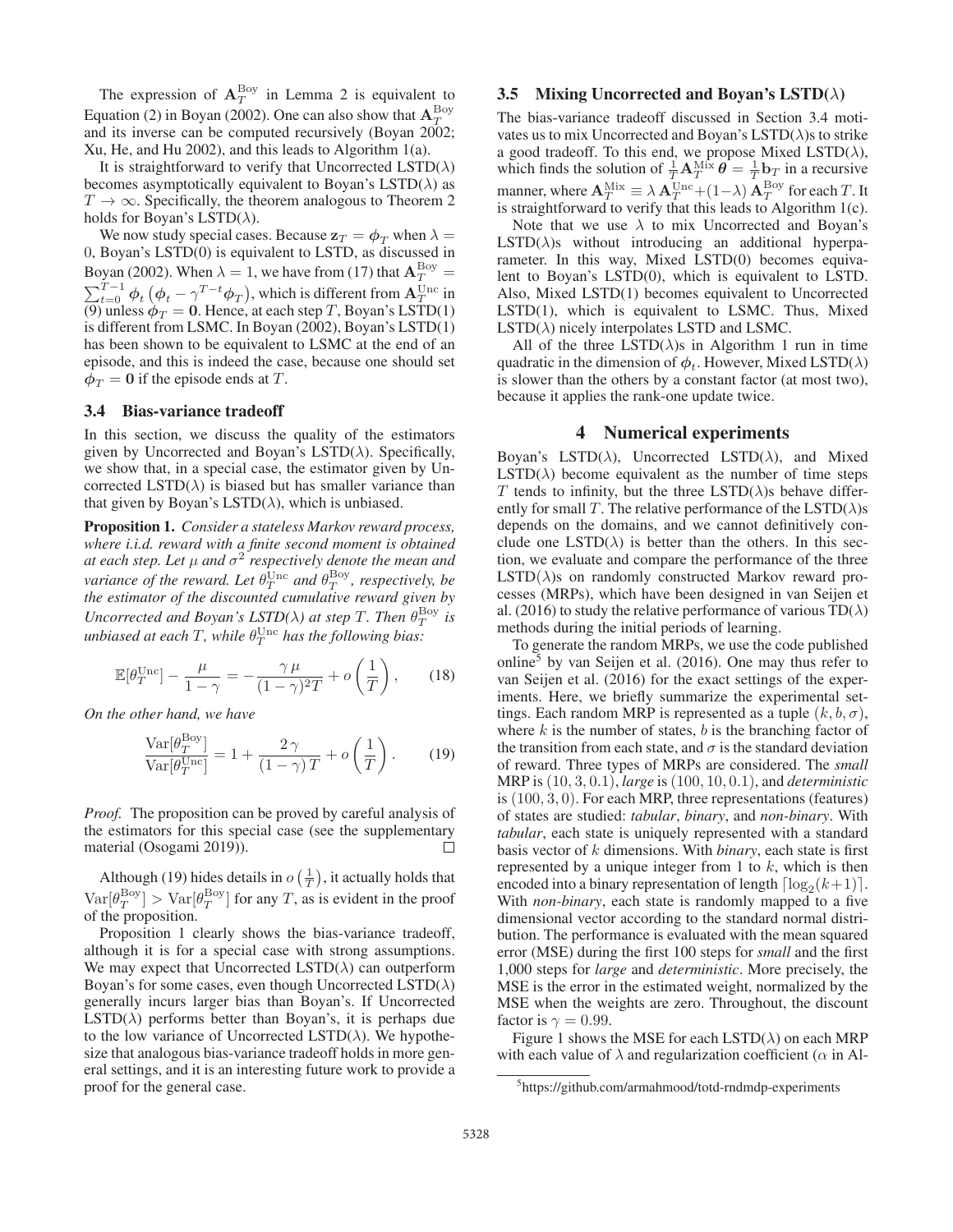The expression of  $A_T^{\text{Boy}}$  in Lemma 2 is equivalent to Equation (2) in Boyan (2002). One can also show that  $A_T^{\text{Boy}}$ and its inverse can be computed recursively (Boyan 2002; Xu, He, and Hu 2002), and this leads to Algorithm 1(a).

It is straightforward to verify that Uncorrected  $LSTD(\lambda)$ becomes asymptotically equivalent to Boyan's  $\text{LSTD}(\lambda)$  as  $T \to \infty$ . Specifically, the theorem analogous to Theorem 2 holds for Boyan's  $LSTD(\lambda)$ .

We now study special cases. Because  $z_T = \phi_T$  when  $\lambda =$ 0, Boyan's LSTD(0) is equivalent to LSTD, as discussed in Boyan (2002). When  $\lambda = 1$ , we have from (17) that  $A_T^{\text{Boy}} =$  $\sum_{t=0}^{T-1} \phi_t \left( \phi_t - \gamma^{T-t} \phi_T \right)$ , which is different from  $\mathbf{A}_T^{\text{Unc}}$  in (9) unless  $\phi_T = 0$ . Hence, at each step T, Boyan's LSTD(1) is different from LSMC. In Boyan (2002) Boyan's LSTD(1) is different from LSMC. In Boyan (2002), Boyan's LSTD(1) has been shown to be equivalent to LSMC at the end of an episode, and this is indeed the case, because one should set  $\phi_T = 0$  if the episode ends at T.

### 3.4 Bias-variance tradeoff

In this section, we discuss the quality of the estimators given by Uncorrected and Boyan's LSTD( $\lambda$ ). Specifically, we show that, in a special case, the estimator given by Uncorrected  $\text{LSTD}(\lambda)$  is biased but has smaller variance than that given by Boyan's LSTD( $\lambda$ ), which is unbiased.

Proposition 1. *Consider a stateless Markov reward process, where i.i.d. reward with a finite second moment is obtained at each step. Let*  $\mu$  *and*  $\sigma^2$  *respectively denote the mean and variance of the reward. Let*  $\theta_T^{\text{Unc}}$  *and*  $\theta_T^{\text{Boy}}$ *, respectively, be the estimator of the discounted cumulative reward given by Uncorrected and Boyan's LSTD(* $\lambda$ *) at step T. Then*  $\theta_T^{\text{Boy}}$  *is*  $u$ nbiased at each  $T$ , while  $\theta_T^{\text{Unc}}$  has the following bias:

$$
\mathbb{E}[\theta_T^{\text{Unc}}] - \frac{\mu}{1 - \gamma} = -\frac{\gamma \mu}{(1 - \gamma)^2 T} + o\left(\frac{1}{T}\right),\qquad(18)
$$

*On the other hand, we have*

$$
\frac{\text{Var}[\theta_T^{\text{Boy}}]}{\text{Var}[\theta_T^{\text{Unc}}]} = 1 + \frac{2\gamma}{(1-\gamma)T} + o\left(\frac{1}{T}\right). \tag{19}
$$

*Proof.* The proposition can be proved by careful analysis of the estimators for this special case (see the supplementary material (Osogami 2019)). П

Although (19) hides details in  $o\left(\frac{1}{T}\right)$ , it actually holds that  $\text{Var}[\theta_T^{\text{Boy}}] > \text{Var}[\theta_T^{\text{Boy}}]$  for any T, as is evident in the proof of the proposition of the proposition.

Proposition 1 clearly shows the bias-variance tradeoff, although it is for a special case with strong assumptions. We may expect that Uncorrected  $\text{LSTD}(\lambda)$  can outperform Boyan's for some cases, even though Uncorrected  $\text{LSTD}(\lambda)$ generally incurs larger bias than Boyan's. If Uncorrected  $LSTD(\lambda)$  performs better than Boyan's, it is perhaps due to the low variance of Uncorrected LSTD( $\lambda$ ). We hypothesize that analogous bias-variance tradeoff holds in more general settings, and it is an interesting future work to provide a proof for the general case.

### 3.5 Mixing Uncorrected and Boyan's LSTD( $\lambda$ )

The bias-variance tradeoff discussed in Section 3.4 motivates us to mix Uncorrected and Boyan's  $LSTD(\lambda)$ s to strike a good tradeoff. To this end, we propose Mixed LSTD( $\lambda$ ), which finds the solution of  $\frac{1}{T}A_{T}^{\text{Mix}}\hat{\theta} = \frac{1}{T}b_{T}$  in a recursive manner, where  $\mathbf{A}_T^{\text{Mix}} \equiv \lambda \mathbf{A}_T^{\text{Unc}} + (1-\lambda) \mathbf{A}_T^{\text{Boy}}$  for each T. It<br>is straightforward to verify that this leads to Algorithm 1(c) is straightforward to verify that this leads to Algorithm 1(c).

Note that we use  $\lambda$  to mix Uncorrected and Boyan's  $LSTD(\lambda)$ s without introducing an additional hyperparameter. In this way, Mixed LSTD(0) becomes equivalent to Boyan's LSTD(0), which is equivalent to LSTD. Also, Mixed LSTD(1) becomes equivalent to Uncorrected LSTD(1), which is equivalent to LSMC. Thus, Mixed  $LSTD(\lambda)$  nicely interpolates LSTD and LSMC.

All of the three LSTD( $\lambda$ )s in Algorithm 1 run in time quadratic in the dimension of  $\phi_t$ . However, Mixed LSTD( $\lambda$ ) is slower than the others by a constant factor (at most two), because it applies the rank-one update twice.

#### 4 Numerical experiments

Boyan's LSTD( $\lambda$ ), Uncorrected LSTD( $\lambda$ ), and Mixed  $LSTD(\lambda)$  become equivalent as the number of time steps T tends to infinity, but the three  $\text{LSTD}(\lambda)$ s behave differently for small T. The relative performance of the  $LSTD(\lambda)$ s depends on the domains, and we cannot definitively conclude one  $\text{LSTD}(\lambda)$  is better than the others. In this section, we evaluate and compare the performance of the three  $LSTD(\lambda)$ s on randomly constructed Markov reward processes (MRPs), which have been designed in van Seijen et al. (2016) to study the relative performance of various  $TD(\lambda)$ methods during the initial periods of learning.

To generate the random MRPs, we use the code published online5 by van Seijen et al. (2016). One may thus refer to van Seijen et al. (2016) for the exact settings of the experiments. Here, we briefly summarize the experimental settings. Each random MRP is represented as a tuple  $(k, b, \sigma)$ , where  $k$  is the number of states,  $b$  is the branching factor of the transition from each state, and  $\sigma$  is the standard deviation of reward. Three types of MRPs are considered. The *small* MRP is (10, 3, 0.1), *large* is (100, 10, 0.1), and *deterministic* is (100, 3, 0). For each MRP, three representations (features) of states are studied: *tabular*, *binary*, and *non-binary*. With *tabular*, each state is uniquely represented with a standard basis vector of k dimensions. With *binary*, each state is first represented by a unique integer from 1 to  $k$ , which is then encoded into a binary representation of length  $\lceil \log_2(k+1) \rceil$ .<br>With *non-binary* each state is randomly manned to a five With *non-binary*, each state is randomly mapped to a five dimensional vector according to the standard normal distribution. The performance is evaluated with the mean squared error (MSE) during the first 100 steps for *small* and the first 1,000 steps for *large* and *deterministic*. More precisely, the MSE is the error in the estimated weight, normalized by the MSE when the weights are zero. Throughout, the discount factor is  $\gamma = 0.99$ .

Figure 1 shows the MSE for each LSTD( $\lambda$ ) on each MRP with each value of  $\lambda$  and regularization coefficient ( $\alpha$  in Al-

<sup>5</sup> https://github.com/armahmood/totd-rndmdp-experiments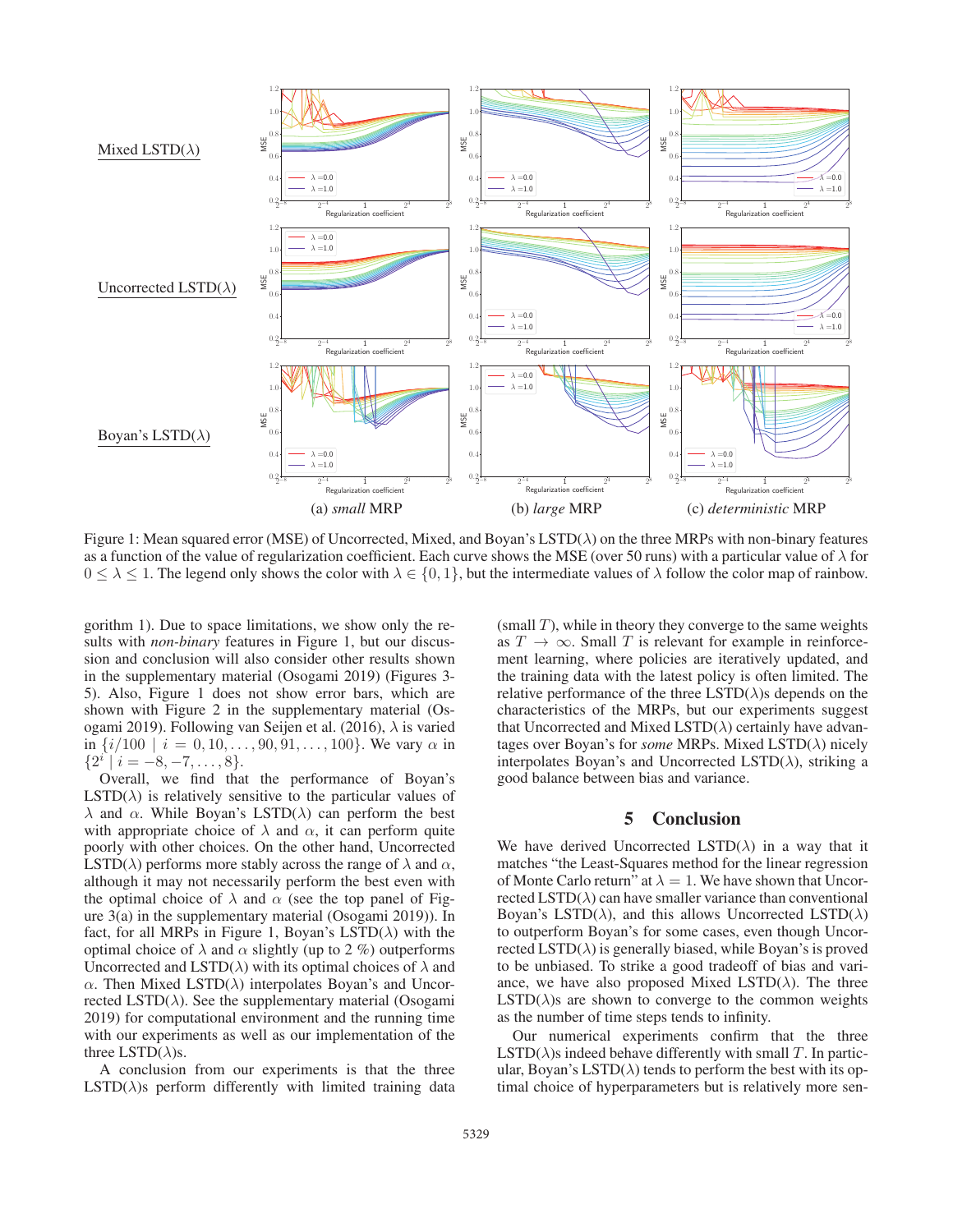

Figure 1: Mean squared error (MSE) of Uncorrected, Mixed, and Boyan's LSTD( $\lambda$ ) on the three MRPs with non-binary features as a function of the value of regularization coefficient. Each curve shows the MSE (over 50 runs) with a particular value of  $\lambda$  for  $0 \leq \lambda \leq 1$ . The legend only shows the color with  $\lambda \in \{0, 1\}$ , but the intermediate values of  $\lambda$  follow the color map of rainbow.

gorithm 1). Due to space limitations, we show only the results with *non-binary* features in Figure 1, but our discussion and conclusion will also consider other results shown in the supplementary material (Osogami 2019) (Figures 3- 5). Also, Figure 1 does not show error bars, which are shown with Figure 2 in the supplementary material (Osogami 2019). Following van Seijen et al. (2016),  $\lambda$  is varied in  $\{i/100 \mid i = 0, 10, \ldots, 90, 91, \ldots, 100\}$ . We vary  $\alpha$  in  ${2^i | i = -8, -7, \ldots, 8}.$ 

Overall, we find that the performance of Boyan's  $LSTD(\lambda)$  is relatively sensitive to the particular values of λ and α. While Boyan's LSTD(λ) can perform the best with appropriate choice of  $\lambda$  and  $\alpha$ , it can perform quite poorly with other choices. On the other hand, Uncorrected LSTD( $\lambda$ ) performs more stably across the range of  $\lambda$  and  $\alpha$ , although it may not necessarily perform the best even with the optimal choice of  $\lambda$  and  $\alpha$  (see the top panel of Figure 3(a) in the supplementary material (Osogami 2019)). In fact, for all MRPs in Figure 1, Boyan's LSTD( $\lambda$ ) with the optimal choice of  $\lambda$  and  $\alpha$  slightly (up to 2 %) outperforms Uncorrected and LSTD( $\lambda$ ) with its optimal choices of  $\lambda$  and  $\alpha$ . Then Mixed LSTD( $\lambda$ ) interpolates Boyan's and Uncorrected LSTD( $\lambda$ ). See the supplementary material (Osogami 2019) for computational environment and the running time with our experiments as well as our implementation of the three LSTD( $\lambda$ )s.

A conclusion from our experiments is that the three  $LSTD(\lambda)$ s perform differently with limited training data

(small  $T$ ), while in theory they converge to the same weights as  $T \rightarrow \infty$ . Small T is relevant for example in reinforcement learning, where policies are iteratively updated, and the training data with the latest policy is often limited. The relative performance of the three  $\text{LSTD}(\lambda)$ s depends on the characteristics of the MRPs, but our experiments suggest that Uncorrected and Mixed LSTD $(\lambda)$  certainly have advantages over Boyan's for *some* MRPs. Mixed LSTD(λ) nicely interpolates Boyan's and Uncorrected LSTD( $\lambda$ ), striking a good balance between bias and variance.

## 5 Conclusion

We have derived Uncorrected LSTD( $\lambda$ ) in a way that it matches "the Least-Squares method for the linear regression of Monte Carlo return" at  $\lambda = 1$ . We have shown that Uncorrected LSTD( $\lambda$ ) can have smaller variance than conventional Boyan's LSTD( $\lambda$ ), and this allows Uncorrected LSTD( $\lambda$ ) to outperform Boyan's for some cases, even though Uncorrected  $LSTD(\lambda)$  is generally biased, while Boyan's is proved to be unbiased. To strike a good tradeoff of bias and variance, we have also proposed Mixed LSTD( $\lambda$ ). The three  $LSTD(\lambda)$ s are shown to converge to the common weights as the number of time steps tends to infinity.

Our numerical experiments confirm that the three  $LSTD(\lambda)$ s indeed behave differently with small T. In particular, Boyan's LSTD( $\lambda$ ) tends to perform the best with its optimal choice of hyperparameters but is relatively more sen